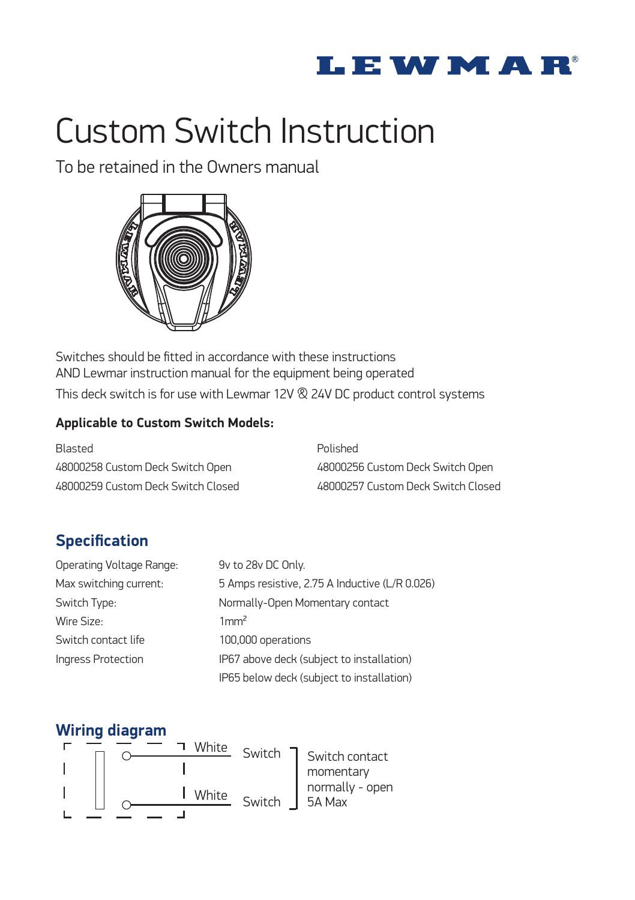

# Custom Switch Instruction

To be retained in the Owners manual



Switches should be fitted in accordance with these instructions AND Lewmar instruction manual for the equipment being operated This deck switch is for use with Lewmar 12V & 24V DC product control systems

## **Applicable to Custom Switch Models:**

| Blasted                            | Polished                           |
|------------------------------------|------------------------------------|
| 48000258 Custom Deck Switch Open   | 48000256 Custom Deck Switch Open   |
| 48000259 Custom Deck Switch Closed | 48000257 Custom Deck Switch Closed |

## **Specification**

| Operating Voltage Range: | 9v to 28v DC Only.                             |
|--------------------------|------------------------------------------------|
| Max switching current:   | 5 Amps resistive, 2.75 A Inductive (L/R 0.026) |
| Switch Type:             | Normally-Open Momentary contact                |
| Wire Size:               | 1mm <sup>2</sup>                               |
| Switch contact life      | 100,000 operations                             |
| Ingress Protection       | IP67 above deck (subject to installation)      |
|                          | IP65 below deck (subject to installation)      |

## **Wiring diagram**

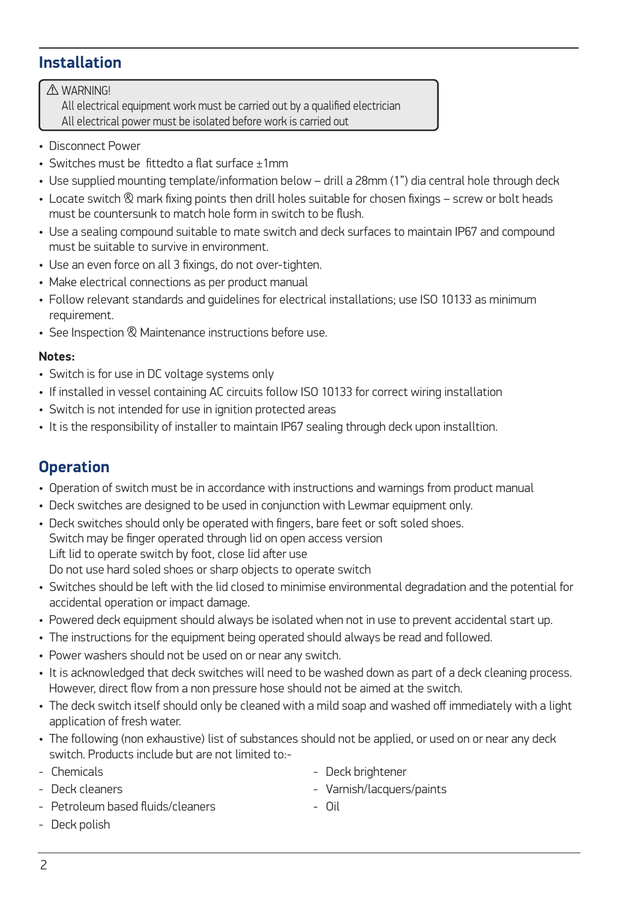## **Installation**

WARNING! ⚠All electrical equipment work must be carried out by a qualified electrician All electrical power must be isolated before work is carried out

- Disconnect Power
- Switches must be fittedto a flat surface ±1mm
- Use supplied mounting template/information below drill a 28mm (1") dia central hole through deck
- Locate switch  $\otimes$  mark fixing points then drill holes suitable for chosen fixings screw or bolt heads must be countersunk to match hole form in switch to be flush.
- Use a sealing compound suitable to mate switch and deck surfaces to maintain IP67 and compound must be suitable to survive in environment.
- Use an even force on all 3 fixings, do not over-tighten.
- Make electrical connections as per product manual
- Follow relevant standards and guidelines for electrical installations; use ISO 10133 as minimum requirement.
- See Inspection  $\otimes$  Maintenance instructions before use.

#### **Notes:**

- Switch is for use in DC voltage systems only
- If installed in vessel containing AC circuits follow ISO 10133 for correct wiring installation
- Switch is not intended for use in ignition protected areas
- It is the responsibility of installer to maintain IP67 sealing through deck upon installtion.

## **Operation**

- Operation of switch must be in accordance with instructions and warnings from product manual
- Deck switches are designed to be used in conjunction with Lewmar equipment only.
- Deck switches should only be operated with fingers, bare feet or soft soled shoes. Switch may be finger operated through lid on open access version Lift lid to operate switch by foot, close lid after use Do not use hard soled shoes or sharp objects to operate switch
- Switches should be left with the lid closed to minimise environmental degradation and the potential for accidental operation or impact damage.
- Powered deck equipment should always be isolated when not in use to prevent accidental start up.
- The instructions for the equipment being operated should always be read and followed.
- Power washers should not be used on or near any switch.
- It is acknowledged that deck switches will need to be washed down as part of a deck cleaning process. However, direct flow from a non pressure hose should not be aimed at the switch.
- The deck switch itself should only be cleaned with a mild soap and washed off immediately with a light application of fresh water.
- The following (non exhaustive) list of substances should not be applied, or used on or near any deck switch. Products include but are not limited to:-
- Chemicals
- Deck cleaners
- Petroleum based fluids/cleaners
- Deck polish
- Deck brightener
- Varnish/lacquers/paints
- Oil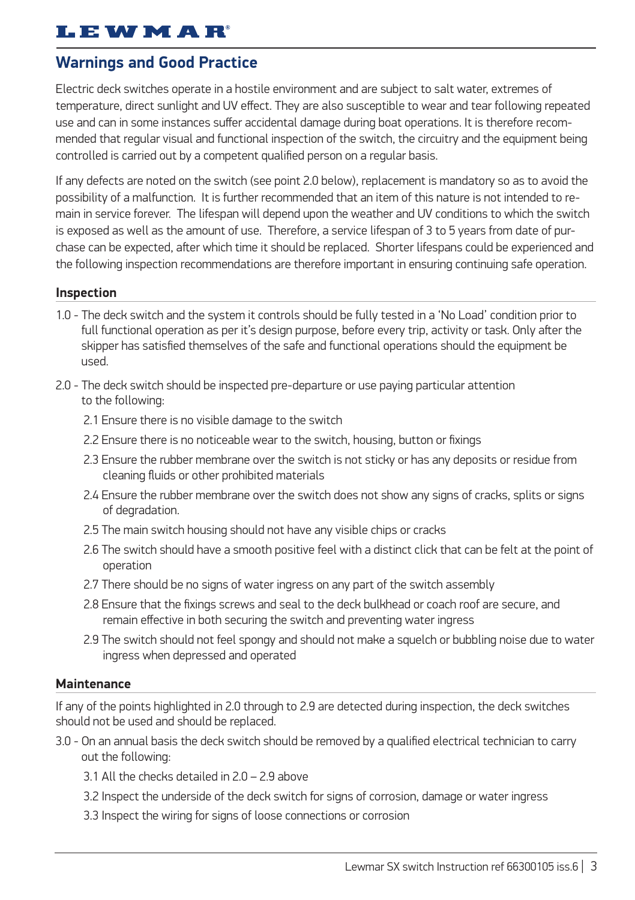## **I.E WMAR**

## **Warnings and Good Practice**

Electric deck switches operate in a hostile environment and are subject to salt water, extremes of temperature, direct sunlight and UV effect. They are also susceptible to wear and tear following repeated use and can in some instances suffer accidental damage during boat operations. It is therefore recommended that regular visual and functional inspection of the switch, the circuitry and the equipment being controlled is carried out by a competent qualified person on a regular basis.

If any defects are noted on the switch (see point 2.0 below), replacement is mandatory so as to avoid the possibility of a malfunction. It is further recommended that an item of this nature is not intended to remain in service forever. The lifespan will depend upon the weather and UV conditions to which the switch is exposed as well as the amount of use. Therefore, a service lifespan of 3 to 5 years from date of purchase can be expected, after which time it should be replaced. Shorter lifespans could be experienced and the following inspection recommendations are therefore important in ensuring continuing safe operation.

#### **Inspection**

- 1.0 The deck switch and the system it controls should be fully tested in a 'No Load' condition prior to full functional operation as per it's design purpose, before every trip, activity or task. Only after the skipper has satisfied themselves of the safe and functional operations should the equipment be used.
- 2.0 The deck switch should be inspected pre-departure or use paying particular attention to the following:
	- 2.1 Ensure there is no visible damage to the switch
	- 2.2 Ensure there is no noticeable wear to the switch, housing, button or fixings
	- 2.3 Ensure the rubber membrane over the switch is not sticky or has any deposits or residue from cleaning fluids or other prohibited materials
	- 2.4 Ensure the rubber membrane over the switch does not show any signs of cracks, splits or signs of degradation.
	- 2.5 The main switch housing should not have any visible chips or cracks
	- 2.6 The switch should have a smooth positive feel with a distinct click that can be felt at the point of operation
	- 2.7 There should be no signs of water ingress on any part of the switch assembly
	- 2.8 Ensure that the fixings screws and seal to the deck bulkhead or coach roof are secure, and remain effective in both securing the switch and preventing water ingress
	- 2.9 The switch should not feel spongy and should not make a squelch or bubbling noise due to water ingress when depressed and operated

#### **Maintenance**

If any of the points highlighted in 2.0 through to 2.9 are detected during inspection, the deck switches should not be used and should be replaced.

- 3.0 On an annual basis the deck switch should be removed by a qualified electrical technician to carry out the following:
	- 3.1 All the checks detailed in 2.0 2.9 above
	- 3.2 Inspect the underside of the deck switch for signs of corrosion, damage or water ingress
	- 3.3 Inspect the wiring for signs of loose connections or corrosion